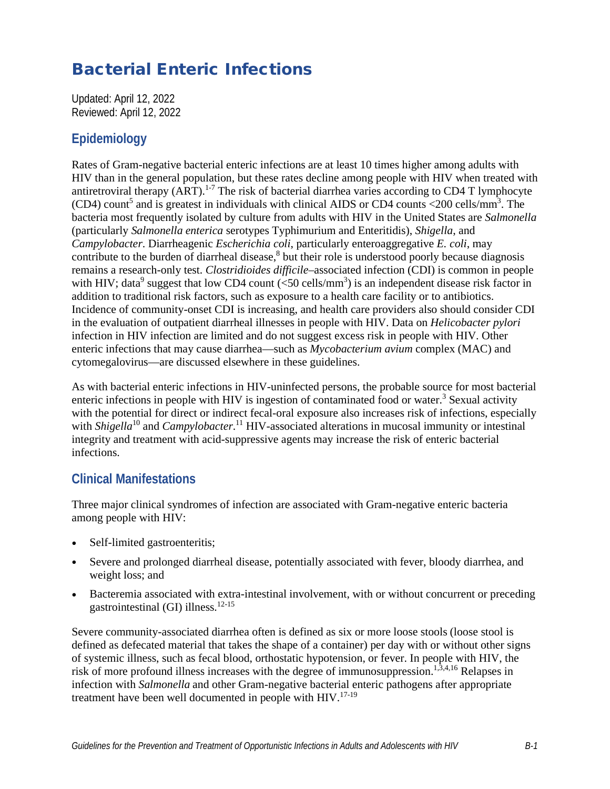# Bacterial Enteric Infections

Updated: April 12, 2022 Reviewed: April 12, 2022

## **Epidemiology**

Rates of Gram-negative bacterial enteric infections are at least 10 times higher among adults with HIV than in the general population, but these rates decline among people with HIV when treated with antiretroviral therapy  $(ART)$ .<sup>1-7</sup> The risk of bacterial diarrhea varies according to CD4 T lymphocyte  $(CD4)$  count<sup>5</sup> and is greatest in individuals with clinical AIDS or CD4 counts <200 cells/mm<sup>3</sup>. The bacteria most frequently isolated by culture from adults with HIV in the United States are *Salmonella* (particularly *Salmonella enterica* serotypes Typhimurium and Enteritidis), *Shigella*, and *Campylobacter*. Diarrheagenic *Escherichia coli*, particularly enteroaggregative *E. coli*, may contribute to the burden of diarrheal disease,<sup>8</sup> but their role is understood poorly because diagnosis remains a research-only test. *Clostridioides difficile*–associated infection (CDI) is common in people with HIV; data<sup>9</sup> suggest that low CD4 count  $(<$ 50 cells/mm<sup>3</sup>) is an independent disease risk factor in addition to traditional risk factors, such as exposure to a health care facility or to antibiotics. Incidence of community-onset CDI is increasing, and health care providers also should consider CDI in the evaluation of outpatient diarrheal illnesses in people with HIV. Data on *Helicobacter pylori* infection in HIV infection are limited and do not suggest excess risk in people with HIV. Other enteric infections that may cause diarrhea—such as *Mycobacterium avium* complex (MAC) and cytomegalovirus—are discussed elsewhere in these guidelines.

As with bacterial enteric infections in HIV-uninfected persons, the probable source for most bacterial enteric infections in people with HIV is ingestion of contaminated food or water.<sup>3</sup> Sexual activity with the potential for direct or indirect fecal-oral exposure also increases risk of infections, especially with *Shigella*<sup>10</sup> and *Campylobacter*.<sup>11</sup> HIV-associated alterations in mucosal immunity or intestinal integrity and treatment with acid-suppressive agents may increase the risk of enteric bacterial infections.

## **Clinical Manifestations**

Three major clinical syndromes of infection are associated with Gram-negative enteric bacteria among people with HIV:

- Self-limited gastroenteritis;
- Severe and prolonged diarrheal disease, potentially associated with fever, bloody diarrhea, and weight loss; and
- Bacteremia associated with extra-intestinal involvement, with or without concurrent or preceding gastrointestinal (GI) illness. $12-15$

Severe community-associated diarrhea often is defined as six or more loose stools (loose stool is defined as defecated material that takes the shape of a container) per day with or without other signs of systemic illness, such as fecal blood, orthostatic hypotension, or fever. In people with HIV, the risk of more profound illness increases with the degree of immunosuppression.<sup>1,3,4,16</sup> Relapses in infection with *Salmonella* and other Gram-negative bacterial enteric pathogens after appropriate treatment have been well documented in people with  $HIV$ .<sup>17-19</sup>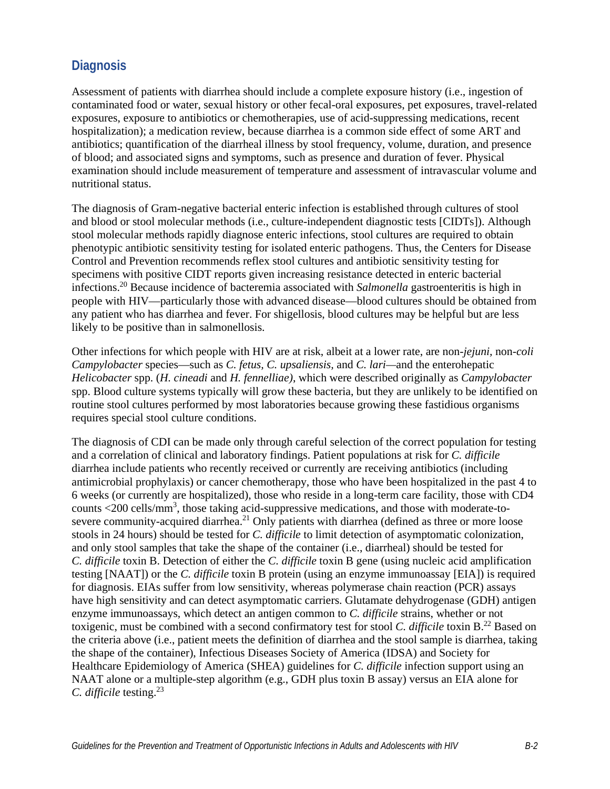## **Diagnosis**

Assessment of patients with diarrhea should include a complete exposure history (i.e., ingestion of contaminated food or water, sexual history or other fecal-oral exposures, pet exposures, travel-related exposures, exposure to antibiotics or chemotherapies, use of acid-suppressing medications, recent hospitalization); a medication review, because diarrhea is a common side effect of some ART and antibiotics; quantification of the diarrheal illness by stool frequency, volume, duration, and presence of blood; and associated signs and symptoms, such as presence and duration of fever. Physical examination should include measurement of temperature and assessment of intravascular volume and nutritional status.

The diagnosis of Gram-negative bacterial enteric infection is established through cultures of stool and blood or stool molecular methods (i.e., culture-independent diagnostic tests [CIDTs]). Although stool molecular methods rapidly diagnose enteric infections, stool cultures are required to obtain phenotypic antibiotic sensitivity testing for isolated enteric pathogens. Thus, the Centers for Disease Control and Prevention recommends reflex stool cultures and antibiotic sensitivity testing for specimens with positive CIDT reports given increasing resistance detected in enteric bacterial infections.20 Because incidence of bacteremia associated with *Salmonella* gastroenteritis is high in people with HIV—particularly those with advanced disease—blood cultures should be obtained from any patient who has diarrhea and fever. For shigellosis, blood cultures may be helpful but are less likely to be positive than in salmonellosis.

Other infections for which people with HIV are at risk, albeit at a lower rate, are non-*jejuni,* non-*coli Campylobacter* species—such as *C. fetus, C. upsaliensis,* and *C. lari—*and the enterohepatic *Helicobacter* spp. (*H. cineadi* and *H. fennelliae)*, which were described originally as *Campylobacter* spp. Blood culture systems typically will grow these bacteria, but they are unlikely to be identified on routine stool cultures performed by most laboratories because growing these fastidious organisms requires special stool culture conditions.

The diagnosis of CDI can be made only through careful selection of the correct population for testing and a correlation of clinical and laboratory findings. Patient populations at risk for *C. difficile* diarrhea include patients who recently received or currently are receiving antibiotics (including antimicrobial prophylaxis) or cancer chemotherapy, those who have been hospitalized in the past 4 to 6 weeks (or currently are hospitalized), those who reside in a long-term care facility, those with CD4 counts <200 cells/mm<sup>3</sup>, those taking acid-suppressive medications, and those with moderate-tosevere community-acquired diarrhea.<sup>21</sup> Only patients with diarrhea (defined as three or more loose stools in 24 hours) should be tested for *C. difficile* to limit detection of asymptomatic colonization, and only stool samples that take the shape of the container (i.e., diarrheal) should be tested for *C. difficile* toxin B. Detection of either the *C. difficile* toxin B gene (using nucleic acid amplification testing [NAAT]) or the *C. difficile* toxin B protein (using an enzyme immunoassay [EIA]) is required for diagnosis. EIAs suffer from low sensitivity, whereas polymerase chain reaction (PCR) assays have high sensitivity and can detect asymptomatic carriers. Glutamate dehydrogenase (GDH) antigen enzyme immunoassays, which detect an antigen common to *C. difficile* strains, whether or not toxigenic, must be combined with a second confirmatory test for stool *C. difficile* toxin B.22 Based on the criteria above (i.e., patient meets the definition of diarrhea and the stool sample is diarrhea, taking the shape of the container), Infectious Diseases Society of America (IDSA) and Society for Healthcare Epidemiology of America (SHEA) guidelines for *C. difficile* infection support using an NAAT alone or a multiple-step algorithm (e.g., GDH plus toxin B assay) versus an EIA alone for *C. difficile* testing. 23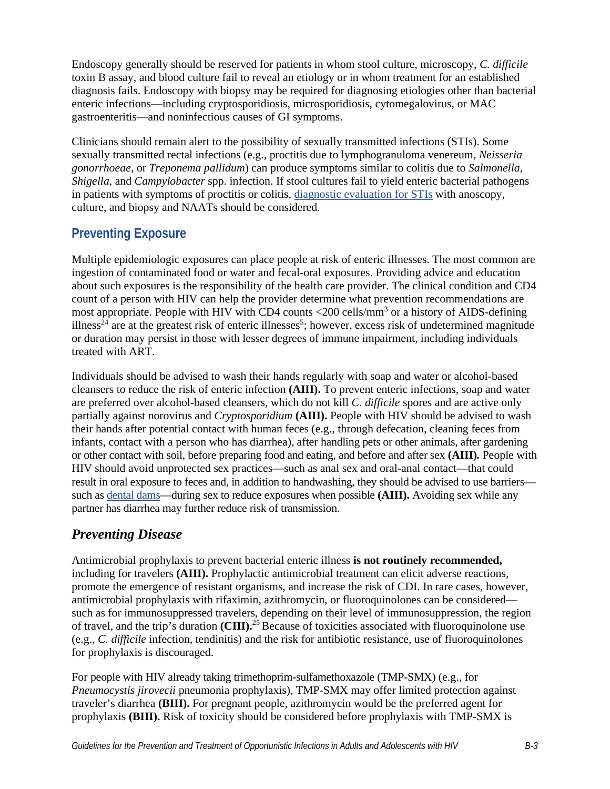Endoscopy generally should be reserved for patients in whom stool culture, microscopy, *C. difficile* toxin B assay, and blood culture fail to reveal an etiology or in whom treatment for an established diagnosis fails. Endoscopy with biopsy may be required for diagnosing etiologies other than bacterial enteric infections—including cryptosporidiosis, microsporidiosis, cytomegalovirus, or MAC gastroenteritis—and noninfectious causes of GI symptoms.

Clinicians should remain alert to the possibility of sexually transmitted infections (STIs). Some sexually transmitted rectal infections (e.g., proctitis due to lymphogranuloma venereum, *Neisseria gonorrhoeae,* or *Treponema pallidum*) can produce symptoms similar to colitis due to *Salmonella, Shigella,* and *Campylobacter* spp. infection. If stool cultures fail to yield enteric bacterial pathogens in patients with symptoms of proctitis or colitis, [diagnostic evaluation for STIs w](https://www.cdc.gov/std/treatment-guidelines/toc.htm)ith anoscopy, culture, and biopsy and NAATs should be considered.

## **Preventing Exposure**

Multiple epidemiologic exposures can place people at risk of enteric illnesses. The most common are ingestion of contaminated food or water and fecal-oral exposures. Providing advice and education about such exposures is the responsibility of the health care provider. The clinical condition and CD4 count of a person with HIV can help the provider determine what prevention recommendations are most appropriate. People with HIV with CD4 counts <200 cells/mm<sup>3</sup> or a history of AIDS-defining illness<sup>24</sup> are at the greatest risk of enteric illnesses<sup>5</sup>; however, excess risk of undetermined magnitude or duration may persist in those with lesser degrees of immune impairment, including individuals treated with ART.

Individuals should be advised to wash their hands regularly with soap and water or alcohol-based cleansers to reduce the risk of enteric infection **(AIII).** To prevent enteric infections, soap and water are preferred over alcohol-based cleansers, which do not kill *C. difficile* spores and are active only partially against norovirus and *Cryptosporidium* **(AIII).** People with HIV should be advised to wash their hands after potential contact with human feces (e.g., through defecation, cleaning feces from infants, contact with a person who has diarrhea), after handling pets or other animals, after gardening or other contact with soil, before preparing food and eating, and before and after sex **(AIII)***.* People with HIV should avoid unprotected sex practices—such as anal sex and oral-anal contact—that could result in oral exposure to feces and, in addition to handwashing, they should be advised to use barriers such as [dental dams—](https://www.cdc.gov/condomeffectiveness/Dental-dam-use.html)during sex to reduce exposures when possible **(AIII).** Avoiding sex while any partner has diarrhea may further reduce risk of transmission.

## *Preventing Disease*

Antimicrobial prophylaxis to prevent bacterial enteric illness **is not routinely recommended,** including for travelers **(AIII).** Prophylactic antimicrobial treatment can elicit adverse reactions, promote the emergence of resistant organisms, and increase the risk of CDI. In rare cases, however, antimicrobial prophylaxis with rifaximin, azithromycin, or fluoroquinolones can be considered such as for immunosuppressed travelers, depending on their level of immunosuppression, the region of travel, and the trip's duration (CIII).<sup>25</sup> Because of toxicities associated with fluoroquinolone use (e.g., *C. difficile* infection, tendinitis) and the risk for antibiotic resistance, use of fluoroquinolones for prophylaxis is discouraged.

For people with HIV already taking trimethoprim-sulfamethoxazole (TMP-SMX) (e.g., for *Pneumocystis jirovecii* pneumonia prophylaxis), TMP-SMX may offer limited protection against traveler's diarrhea **(BIII).** For pregnant people, azithromycin would be the preferred agent for prophylaxis **(BIII).** Risk of toxicity should be considered before prophylaxis with TMP-SMX is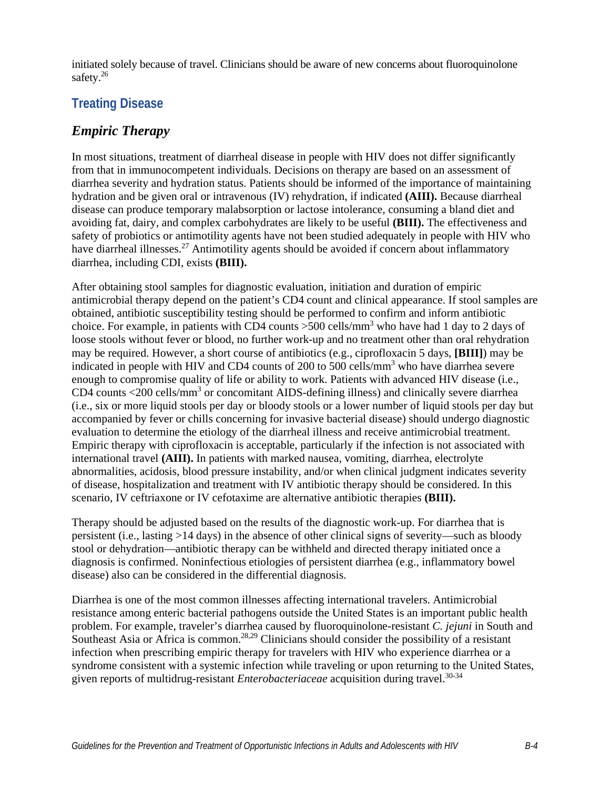initiated solely because of travel. Clinicians should be aware of new concerns about fluoroquinolone safety.<sup>26</sup>

## **Treating Disease**

### *Empiric Therapy*

In most situations, treatment of diarrheal disease in people with HIV does not differ significantly from that in immunocompetent individuals. Decisions on therapy are based on an assessment of diarrhea severity and hydration status. Patients should be informed of the importance of maintaining hydration and be given oral or intravenous (IV) rehydration, if indicated **(AIII).** Because diarrheal disease can produce temporary malabsorption or lactose intolerance, consuming a bland diet and avoiding fat, dairy, and complex carbohydrates are likely to be useful **(BIII).** The effectiveness and safety of probiotics or antimotility agents have not been studied adequately in people with HIV who have diarrheal illnesses.<sup>27</sup> Antimotility agents should be avoided if concern about inflammatory diarrhea, including CDI, exists **(BIII).**

After obtaining stool samples for diagnostic evaluation, initiation and duration of empiric antimicrobial therapy depend on the patient's CD4 count and clinical appearance. If stool samples are obtained, antibiotic susceptibility testing should be performed to confirm and inform antibiotic choice. For example, in patients with CD4 counts >500 cells/mm<sup>3</sup> who have had 1 day to 2 days of loose stools without fever or blood, no further work-up and no treatment other than oral rehydration may be required. However, a short course of antibiotics (e.g., ciprofloxacin 5 days, **[BIII]**) may be indicated in people with HIV and CD4 counts of 200 to 500 cells/mm<sup>3</sup> who have diarrhea severe enough to compromise quality of life or ability to work. Patients with advanced HIV disease (i.e., CD4 counts <200 cells/mm<sup>3</sup> or concomitant AIDS-defining illness) and clinically severe diarrhea (i.e., six or more liquid stools per day or bloody stools or a lower number of liquid stools per day but accompanied by fever or chills concerning for invasive bacterial disease) should undergo diagnostic evaluation to determine the etiology of the diarrheal illness and receive antimicrobial treatment. Empiric therapy with ciprofloxacin is acceptable, particularly if the infection is not associated with international travel **(AIII).** In patients with marked nausea, vomiting, diarrhea, electrolyte abnormalities, acidosis, blood pressure instability, and/or when clinical judgment indicates severity of disease, hospitalization and treatment with IV antibiotic therapy should be considered. In this scenario, IV ceftriaxone or IV cefotaxime are alternative antibiotic therapies **(BIII).**

Therapy should be adjusted based on the results of the diagnostic work-up. For diarrhea that is persistent (i.e., lasting >14 days) in the absence of other clinical signs of severity—such as bloody stool or dehydration—antibiotic therapy can be withheld and directed therapy initiated once a diagnosis is confirmed. Noninfectious etiologies of persistent diarrhea (e.g., inflammatory bowel disease) also can be considered in the differential diagnosis.

Diarrhea is one of the most common illnesses affecting international travelers. Antimicrobial resistance among enteric bacterial pathogens outside the United States is an important public health problem. For example, traveler's diarrhea caused by fluoroquinolone-resistant *C. jejuni* in South and Southeast Asia or Africa is common.<sup>28,29</sup> Clinicians should consider the possibility of a resistant infection when prescribing empiric therapy for travelers with HIV who experience diarrhea or a syndrome consistent with a systemic infection while traveling or upon returning to the United States, given reports of multidrug-resistant *Enterobacteriaceae* acquisition during travel.<sup>30-34</sup>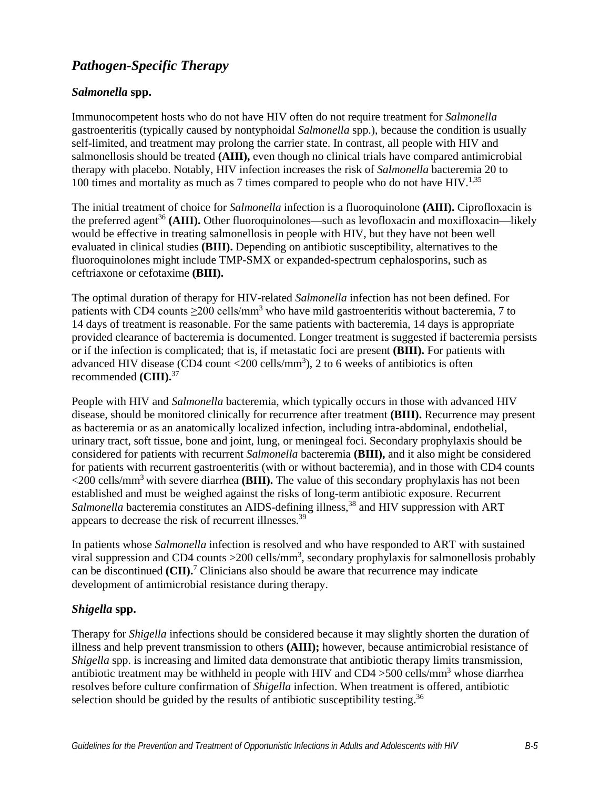## *Pathogen-Specific Therapy*

### *Salmonella* **spp.**

Immunocompetent hosts who do not have HIV often do not require treatment for *Salmonella* gastroenteritis (typically caused by nontyphoidal *Salmonella* spp.), because the condition is usually self-limited, and treatment may prolong the carrier state. In contrast, all people with HIV and salmonellosis should be treated **(AIII),** even though no clinical trials have compared antimicrobial therapy with placebo. Notably, HIV infection increases the risk of *Salmonella* bacteremia 20 to 100 times and mortality as much as 7 times compared to people who do not have  $HIV^{1,35}$ 

The initial treatment of choice for *Salmonella* infection is a fluoroquinolone **(AIII).** Ciprofloxacin is the preferred agent<sup>36</sup> (AIII). Other fluoroquinolones—such as levofloxacin and moxifloxacin—likely would be effective in treating salmonellosis in people with HIV, but they have not been well evaluated in clinical studies **(BIII).** Depending on antibiotic susceptibility, alternatives to the fluoroquinolones might include TMP-SMX or expanded-spectrum cephalosporins, such as ceftriaxone or cefotaxime **(BIII).**

The optimal duration of therapy for HIV-related *Salmonella* infection has not been defined. For patients with CD4 counts  $\geq$ 200 cells/mm<sup>3</sup> who have mild gastroenteritis without bacteremia, 7 to 14 days of treatment is reasonable. For the same patients with bacteremia, 14 days is appropriate provided clearance of bacteremia is documented. Longer treatment is suggested if bacteremia persists or if the infection is complicated; that is, if metastatic foci are present **(BIII).** For patients with advanced HIV disease (CD4 count  $\langle 200 \text{ cells/mm}^3 \rangle$ , 2 to 6 weeks of antibiotics is often recommended **(CIII).**<sup>37</sup>

People with HIV and *Salmonella* bacteremia, which typically occurs in those with advanced HIV disease, should be monitored clinically for recurrence after treatment **(BIII).** Recurrence may present as bacteremia or as an anatomically localized infection, including intra-abdominal, endothelial, urinary tract, soft tissue, bone and joint, lung, or meningeal foci. Secondary prophylaxis should be considered for patients with recurrent *Salmonella* bacteremia **(BIII),** and it also might be considered for patients with recurrent gastroenteritis (with or without bacteremia), and in those with CD4 counts <200 cells/mm3 with severe diarrhea **(BIII).** The value of this secondary prophylaxis has not been established and must be weighed against the risks of long-term antibiotic exposure. Recurrent *Salmonella* bacteremia constitutes an AIDS-defining illness,<sup>38</sup> and HIV suppression with ART appears to decrease the risk of recurrent illnesses.39

In patients whose *Salmonella* infection is resolved and who have responded to ART with sustained viral suppression and CD4 counts  $>$  200 cells/mm<sup>3</sup>, secondary prophylaxis for salmonellosis probably can be discontinued (CII).<sup>7</sup> Clinicians also should be aware that recurrence may indicate development of antimicrobial resistance during therapy.

#### *Shigella* **spp.**

Therapy for *Shigella* infections should be considered because it may slightly shorten the duration of illness and help prevent transmission to others **(AIII);** however, because antimicrobial resistance of *Shigella* spp. is increasing and limited data demonstrate that antibiotic therapy limits transmission, antibiotic treatment may be withheld in people with HIV and  $CD4 > 500$  cells/mm<sup>3</sup> whose diarrhea resolves before culture confirmation of *Shigella* infection. When treatment is offered, antibiotic selection should be guided by the results of antibiotic susceptibility testing.<sup>36</sup>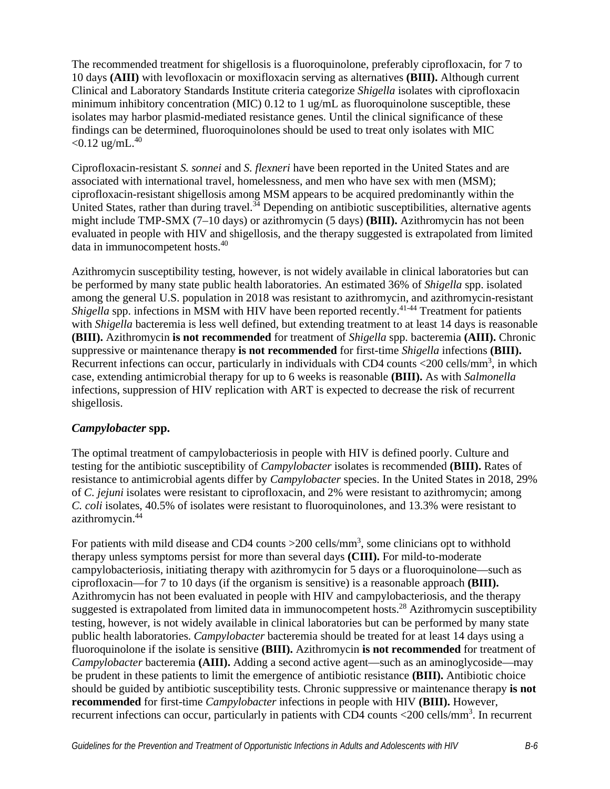The recommended treatment for shigellosis is a fluoroquinolone, preferably ciprofloxacin, for 7 to 10 days **(AIII)** with levofloxacin or moxifloxacin serving as alternatives **(BIII).** Although current Clinical and Laboratory Standards Institute criteria categorize *Shigella* isolates with ciprofloxacin minimum inhibitory concentration (MIC) 0.12 to 1 ug/mL as fluoroquinolone susceptible, these isolates may harbor plasmid-mediated resistance genes. Until the clinical significance of these findings can be determined, fluoroquinolones should be used to treat only isolates with MIC  $< 0.12$  ug/mL.<sup>40</sup>

Ciprofloxacin-resistant *S. sonnei* and *S. flexneri* have been reported in the United States and are associated with international travel, homelessness, and men who have sex with men (MSM); ciprofloxacin-resistant shigellosis among MSM appears to be acquired predominantly within the United States, rather than during travel.<sup>34</sup> Depending on antibiotic susceptibilities, alternative agents might include TMP-SMX (7–10 days) or azithromycin (5 days) **(BIII).** Azithromycin has not been evaluated in people with HIV and shigellosis, and the therapy suggested is extrapolated from limited data in immunocompetent hosts.40

Azithromycin susceptibility testing, however, is not widely available in clinical laboratories but can be performed by many state public health laboratories. An estimated 36% of *Shigella* spp. isolated among the general U.S. population in 2018 was resistant to azithromycin, and azithromycin-resistant *Shigella* spp. infections in MSM with HIV have been reported recently.<sup>41-44</sup> Treatment for patients with *Shigella* bacteremia is less well defined, but extending treatment to at least 14 days is reasonable **(BIII).** Azithromycin **is not recommended** for treatment of *Shigella* spp. bacteremia **(AIII).** Chronic suppressive or maintenance therapy **is not recommended** for first-time *Shigella* infections **(BIII).** Recurrent infections can occur, particularly in individuals with CD4 counts <200 cells/mm<sup>3</sup>, in which case, extending antimicrobial therapy for up to 6 weeks is reasonable **(BIII).** As with *Salmonella* infections, suppression of HIV replication with ART is expected to decrease the risk of recurrent shigellosis.

### *Campylobacter* **spp.**

The optimal treatment of campylobacteriosis in people with HIV is defined poorly. Culture and testing for the antibiotic susceptibility of *Campylobacter* isolates is recommended **(BIII).** Rates of resistance to antimicrobial agents differ by *Campylobacter* species. In the United States in 2018, 29% of *C. jejuni* isolates were resistant to ciprofloxacin, and 2% were resistant to azithromycin; among *C. coli* isolates, 40.5% of isolates were resistant to fluoroquinolones, and 13.3% were resistant to azithromycin.44

For patients with mild disease and CD4 counts  $>$ 200 cells/mm<sup>3</sup>, some clinicians opt to withhold therapy unless symptoms persist for more than several days **(CIII).** For mild-to-moderate campylobacteriosis, initiating therapy with azithromycin for 5 days or a fluoroquinolone—such as ciprofloxacin—for 7 to 10 days (if the organism is sensitive) is a reasonable approach **(BIII).** Azithromycin has not been evaluated in people with HIV and campylobacteriosis, and the therapy suggested is extrapolated from limited data in immunocompetent hosts.<sup>28</sup> Azithromycin susceptibility testing, however, is not widely available in clinical laboratories but can be performed by many state public health laboratories. *Campylobacter* bacteremia should be treated for at least 14 days using a fluoroquinolone if the isolate is sensitive **(BIII).** Azithromycin **is not recommended** for treatment of *Campylobacter* bacteremia **(AIII).** Adding a second active agent—such as an aminoglycoside—may be prudent in these patients to limit the emergence of antibiotic resistance **(BIII).** Antibiotic choice should be guided by antibiotic susceptibility tests. Chronic suppressive or maintenance therapy **is not recommended** for first-time *Campylobacter* infections in people with HIV **(BIII).** However, recurrent infections can occur, particularly in patients with CD4 counts <200 cells/mm<sup>3</sup>. In recurrent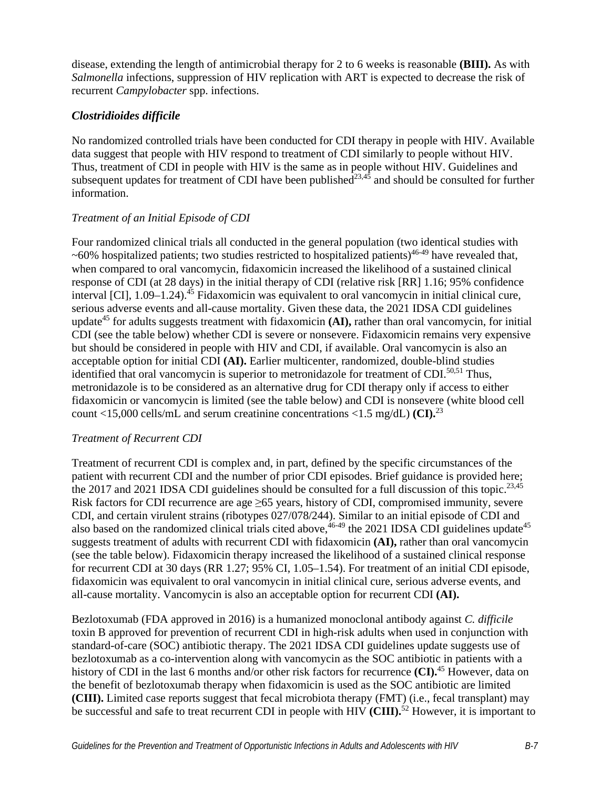disease, extending the length of antimicrobial therapy for 2 to 6 weeks is reasonable **(BIII).** As with *Salmonella* infections, suppression of HIV replication with ART is expected to decrease the risk of recurrent *Campylobacter* spp. infections.

### *Clostridioides difficile*

No randomized controlled trials have been conducted for CDI therapy in people with HIV. Available data suggest that people with HIV respond to treatment of CDI similarly to people without HIV. Thus, treatment of CDI in people with HIV is the same as in people without HIV. Guidelines and subsequent updates for treatment of CDI have been published<sup>23,45</sup> and should be consulted for further information.

### *Treatment of an Initial Episode of CDI*

Four randomized clinical trials all conducted in the general population (two identical studies with  $\sim 60\%$  hospitalized patients; two studies restricted to hospitalized patients)<sup>46-49</sup> have revealed that, when compared to oral vancomycin, fidaxomicin increased the likelihood of a sustained clinical response of CDI (at 28 days) in the initial therapy of CDI (relative risk [RR] 1.16; 95% confidence interval [CI], 1.09–1.24).<sup>45</sup> Fidaxomicin was equivalent to oral vancomycin in initial clinical cure, serious adverse events and all-cause mortality. Given these data, the 2021 IDSA CDI guidelines update<sup>45</sup> for adults suggests treatment with fidaxomicin **(AI),** rather than oral vancomycin, for initial CDI (see the table below) whether CDI is severe or nonsevere. Fidaxomicin remains very expensive but should be considered in people with HIV and CDI, if available. Oral vancomycin is also an acceptable option for initial CDI **(AI).** Earlier multicenter, randomized, double-blind studies identified that oral vancomycin is superior to metronidazole for treatment of CDI. $50,51$  Thus, metronidazole is to be considered as an alternative drug for CDI therapy only if access to either fidaxomicin or vancomycin is limited (see the table below) and CDI is nonsevere (white blood cell count <15,000 cells/mL and serum creatinine concentrations <1.5 mg/dL) **(CI).**<sup>23</sup>

### *Treatment of Recurrent CDI*

Treatment of recurrent CDI is complex and, in part, defined by the specific circumstances of the patient with recurrent CDI and the number of prior CDI episodes. Brief guidance is provided here; the 2017 and 2021 IDSA CDI guidelines should be consulted for a full discussion of this topic.<sup>23,45</sup> Risk factors for CDI recurrence are age ≥65 years, history of CDI, compromised immunity, severe CDI, and certain virulent strains (ribotypes 027/078/244). Similar to an initial episode of CDI and also based on the randomized clinical trials cited above,  $46-49$  the 2021 IDSA CDI guidelines update  $45$ suggests treatment of adults with recurrent CDI with fidaxomicin **(AI),** rather than oral vancomycin (see the table below). Fidaxomicin therapy increased the likelihood of a sustained clinical response for recurrent CDI at 30 days (RR 1.27; 95% CI, 1.05–1.54). For treatment of an initial CDI episode, fidaxomicin was equivalent to oral vancomycin in initial clinical cure, serious adverse events, and all-cause mortality. Vancomycin is also an acceptable option for recurrent CDI **(AI).**

Bezlotoxumab (FDA approved in 2016) is a humanized monoclonal antibody against *C. difficile* toxin B approved for prevention of recurrent CDI in high-risk adults when used in conjunction with standard-of-care (SOC) antibiotic therapy. The 2021 IDSA CDI guidelines update suggests use of bezlotoxumab as a co-intervention along with vancomycin as the SOC antibiotic in patients with a history of CDI in the last 6 months and/or other risk factors for recurrence **(CI).**<sup>45</sup> However, data on the benefit of bezlotoxumab therapy when fidaxomicin is used as the SOC antibiotic are limited **(CIII).** Limited case reports suggest that fecal microbiota therapy (FMT) (i.e., fecal transplant) may be successful and safe to treat recurrent CDI in people with HIV **(CIII).** <sup>52</sup> However, it is important to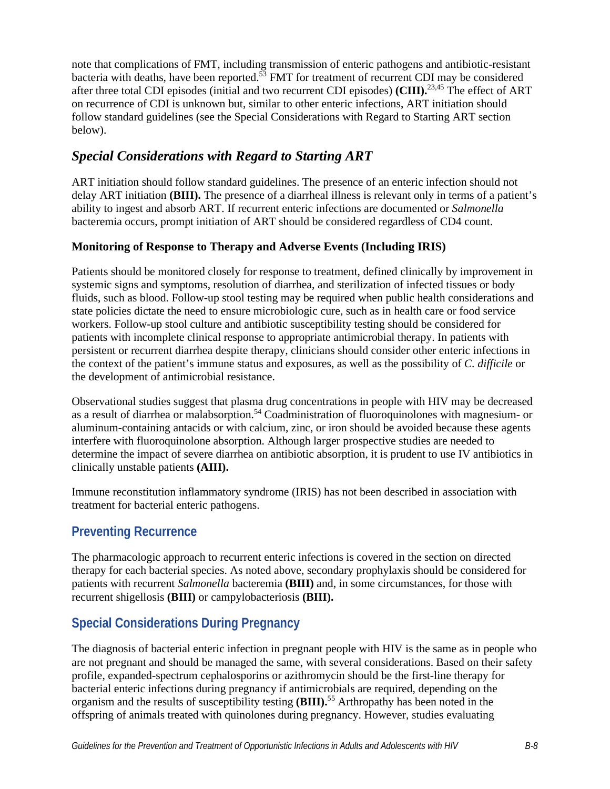note that complications of FMT, including transmission of enteric pathogens and antibiotic-resistant bacteria with deaths, have been reported.<sup>53</sup> FMT for treatment of recurrent CDI may be considered after three total CDI episodes (initial and two recurrent CDI episodes) **(CIII).**23,45 The effect of ART on recurrence of CDI is unknown but, similar to other enteric infections, ART initiation should follow standard guidelines (see the Special Considerations with Regard to Starting ART section below).

## *Special Considerations with Regard to Starting ART*

ART initiation should follow standard guidelines. The presence of an enteric infection should not delay ART initiation **(BIII).** The presence of a diarrheal illness is relevant only in terms of a patient's ability to ingest and absorb ART. If recurrent enteric infections are documented or *Salmonella*  bacteremia occurs, prompt initiation of ART should be considered regardless of CD4 count.

### **Monitoring of Response to Therapy and Adverse Events (Including IRIS)**

Patients should be monitored closely for response to treatment, defined clinically by improvement in systemic signs and symptoms, resolution of diarrhea, and sterilization of infected tissues or body fluids, such as blood. Follow-up stool testing may be required when public health considerations and state policies dictate the need to ensure microbiologic cure, such as in health care or food service workers. Follow-up stool culture and antibiotic susceptibility testing should be considered for patients with incomplete clinical response to appropriate antimicrobial therapy. In patients with persistent or recurrent diarrhea despite therapy, clinicians should consider other enteric infections in the context of the patient's immune status and exposures, as well as the possibility of *C. difficile* or the development of antimicrobial resistance.

Observational studies suggest that plasma drug concentrations in people with HIV may be decreased as a result of diarrhea or malabsorption.<sup>54</sup> Coadministration of fluoroquinolones with magnesium- or aluminum-containing antacids or with calcium, zinc, or iron should be avoided because these agents interfere with fluoroquinolone absorption. Although larger prospective studies are needed to determine the impact of severe diarrhea on antibiotic absorption, it is prudent to use IV antibiotics in clinically unstable patients **(AIII).**

Immune reconstitution inflammatory syndrome (IRIS) has not been described in association with treatment for bacterial enteric pathogens.

## **Preventing Recurrence**

The pharmacologic approach to recurrent enteric infections is covered in the section on directed therapy for each bacterial species. As noted above, secondary prophylaxis should be considered for patients with recurrent *Salmonella* bacteremia **(BIII)** and, in some circumstances, for those with recurrent shigellosis **(BIII)** or campylobacteriosis **(BIII).**

## **Special Considerations During Pregnancy**

The diagnosis of bacterial enteric infection in pregnant people with HIV is the same as in people who are not pregnant and should be managed the same, with several considerations. Based on their safety profile, expanded-spectrum cephalosporins or azithromycin should be the first-line therapy for bacterial enteric infections during pregnancy if antimicrobials are required, depending on the organism and the results of susceptibility testing **(BIII).** 55 Arthropathy has been noted in the offspring of animals treated with quinolones during pregnancy. However, studies evaluating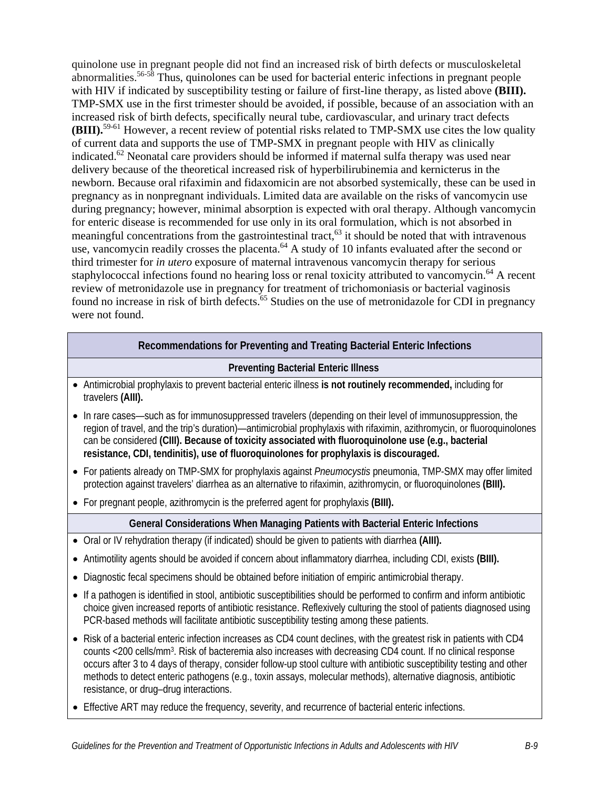quinolone use in pregnant people did not find an increased risk of birth defects or musculoskeletal abnormalities.<sup>56-58</sup> Thus, quinolones can be used for bacterial enteric infections in pregnant people with HIV if indicated by susceptibility testing or failure of first-line therapy, as listed above **(BIII).** TMP-SMX use in the first trimester should be avoided, if possible, because of an association with an increased risk of birth defects, specifically neural tube, cardiovascular, and urinary tract defects **(BIII).** 59-61 However, a recent review of potential risks related to TMP-SMX use cites the low quality of current data and supports the use of TMP-SMX in pregnant people with HIV as clinically indicated.<sup>62</sup> Neonatal care providers should be informed if maternal sulfa therapy was used near delivery because of the theoretical increased risk of hyperbilirubinemia and kernicterus in the newborn. Because oral rifaximin and fidaxomicin are not absorbed systemically, these can be used in pregnancy as in nonpregnant individuals. Limited data are available on the risks of vancomycin use during pregnancy; however, minimal absorption is expected with oral therapy. Although vancomycin for enteric disease is recommended for use only in its oral formulation, which is not absorbed in meaningful concentrations from the gastrointestinal tract,<sup>63</sup> it should be noted that with intravenous use, vancomycin readily crosses the placenta.<sup>64</sup> A study of 10 infants evaluated after the second or third trimester for *in utero* exposure of maternal intravenous vancomycin therapy for serious staphylococcal infections found no hearing loss or renal toxicity attributed to vancomycin.<sup>64</sup> A recent review of metronidazole use in pregnancy for treatment of trichomoniasis or bacterial vaginosis found no increase in risk of birth defects.<sup>65</sup> Studies on the use of metronidazole for CDI in pregnancy were not found.

### **Recommendations for Preventing and Treating Bacterial Enteric Infections**

#### **Preventing Bacterial Enteric Illness**

- Antimicrobial prophylaxis to prevent bacterial enteric illness **is not routinely recommended,** including for travelers **(AIII).**
- In rare cases—such as for immunosuppressed travelers (depending on their level of immunosuppression, the region of travel, and the trip's duration)—antimicrobial prophylaxis with rifaximin, azithromycin, or fluoroquinolones can be considered **(CIII). Because of toxicity associated with fluoroquinolone use (e.g., bacterial resistance, CDI, tendinitis), use of fluoroquinolones for prophylaxis is discouraged.**
- For patients already on TMP-SMX for prophylaxis against *Pneumocystis* pneumonia, TMP-SMX may offer limited protection against travelers' diarrhea as an alternative to rifaximin, azithromycin, or fluoroquinolones **(BIII).**
- For pregnant people, azithromycin is the preferred agent for prophylaxis **(BIII).**

#### **General Considerations When Managing Patients with Bacterial Enteric Infections**

- Oral or IV rehydration therapy (if indicated) should be given to patients with diarrhea **(AIII).**
- Antimotility agents should be avoided if concern about inflammatory diarrhea, including CDI, exists **(BIII).**
- Diagnostic fecal specimens should be obtained before initiation of empiric antimicrobial therapy.
- If a pathogen is identified in stool, antibiotic susceptibilities should be performed to confirm and inform antibiotic choice given increased reports of antibiotic resistance. Reflexively culturing the stool of patients diagnosed using PCR-based methods will facilitate antibiotic susceptibility testing among these patients.
- Risk of a bacterial enteric infection increases as CD4 count declines, with the greatest risk in patients with CD4 counts <200 cells/mm3. Risk of bacteremia also increases with decreasing CD4 count. If no clinical response occurs after 3 to 4 days of therapy, consider follow-up stool culture with antibiotic susceptibility testing and other methods to detect enteric pathogens (e.g., toxin assays, molecular methods), alternative diagnosis, antibiotic resistance, or drug–drug interactions.
- Effective ART may reduce the frequency, severity, and recurrence of bacterial enteric infections.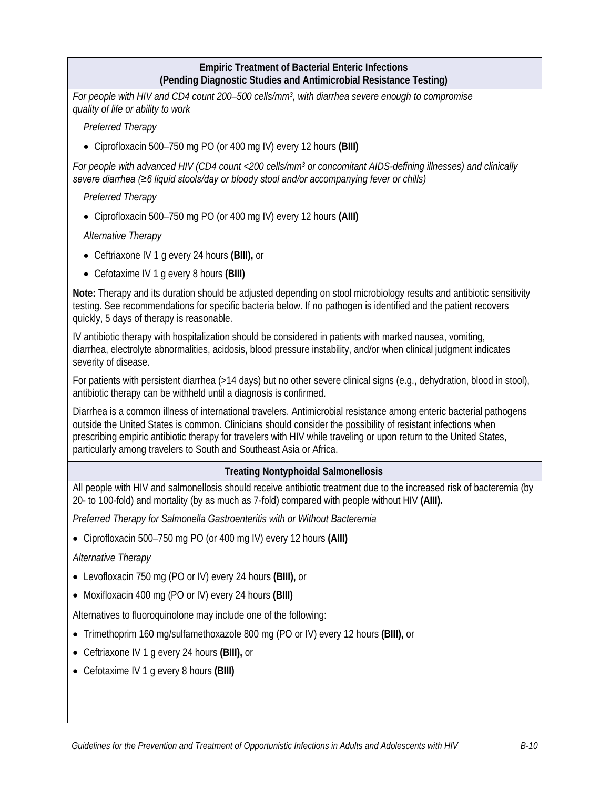### **Empiric Treatment of Bacterial Enteric Infections (Pending Diagnostic Studies and Antimicrobial Resistance Testing)**

*For people with HIV and CD4 count 200–500 cells/mm3, with diarrhea severe enough to compromise quality of life or ability to work* 

*Preferred Therapy*

• Ciprofloxacin 500–750 mg PO (or 400 mg IV) every 12 hours **(BIII)** 

*For people with advanced HIV (CD4 count <200 cells/mm3 or concomitant AIDS-defining illnesses) and clinically severe diarrhea (≥6 liquid stools/day or bloody stool and/or accompanying fever or chills)*

*Preferred Therapy*

• Ciprofloxacin 500–750 mg PO (or 400 mg IV) every 12 hours **(AIII)** 

*Alternative Therapy*

- Ceftriaxone IV 1 g every 24 hours **(BIII),** or
- Cefotaxime IV 1 g every 8 hours **(BIII)**

**Note:** Therapy and its duration should be adjusted depending on stool microbiology results and antibiotic sensitivity testing. See recommendations for specific bacteria below. If no pathogen is identified and the patient recovers quickly, 5 days of therapy is reasonable.

IV antibiotic therapy with hospitalization should be considered in patients with marked nausea, vomiting, diarrhea, electrolyte abnormalities, acidosis, blood pressure instability, and/or when clinical judgment indicates severity of disease.

For patients with persistent diarrhea (>14 days) but no other severe clinical signs (e.g., dehydration, blood in stool), antibiotic therapy can be withheld until a diagnosis is confirmed.

Diarrhea is a common illness of international travelers. Antimicrobial resistance among enteric bacterial pathogens outside the United States is common. Clinicians should consider the possibility of resistant infections when prescribing empiric antibiotic therapy for travelers with HIV while traveling or upon return to the United States, particularly among travelers to South and Southeast Asia or Africa.

#### **Treating Nontyphoidal Salmonellosis**

All people with HIV and salmonellosis should receive antibiotic treatment due to the increased risk of bacteremia (by 20- to 100-fold) and mortality (by as much as 7-fold) compared with people without HIV **(AIII).**

*Preferred Therapy for Salmonella Gastroenteritis with or Without Bacteremia*

• Ciprofloxacin 500–750 mg PO (or 400 mg IV) every 12 hours **(AIII)**

*Alternative Therapy*

- Levofloxacin 750 mg (PO or IV) every 24 hours **(BIII),** or
- Moxifloxacin 400 mg (PO or IV) every 24 hours **(BIII)**

Alternatives to fluoroquinolone may include one of the following:

- Trimethoprim 160 mg/sulfamethoxazole 800 mg (PO or IV) every 12 hours **(BIII),** or
- Ceftriaxone IV 1 g every 24 hours **(BIII),** or
- Cefotaxime IV 1 g every 8 hours **(BIII)**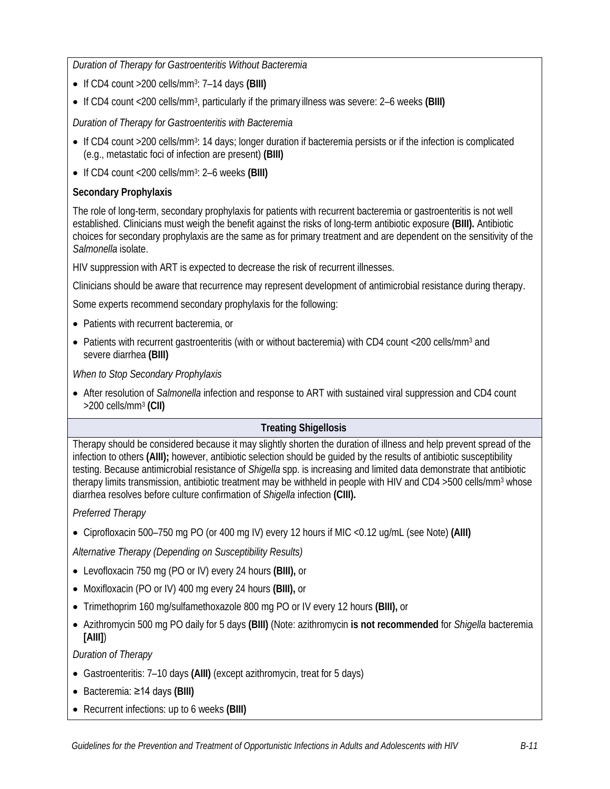*Duration of Therapy for Gastroenteritis Without Bacteremia*

- If CD4 count >200 cells/mm3: 7–14 days **(BIII)**
- If CD4 count <200 cells/mm3, particularly if the primary illness was severe: 2–6 weeks **(BIII)**

*Duration of Therapy for Gastroenteritis with Bacteremia*

- If CD4 count >200 cells/mm<sup>3</sup>: 14 days; longer duration if bacteremia persists or if the infection is complicated (e.g., metastatic foci of infection are present) **(BIII)**
- If CD4 count <200 cells/mm3: 2–6 weeks **(BIII)**

### **Secondary Prophylaxis**

The role of long-term, secondary prophylaxis for patients with recurrent bacteremia or gastroenteritis is not well established. Clinicians must weigh the benefit against the risks of long-term antibiotic exposure **(BIII).** Antibiotic choices for secondary prophylaxis are the same as for primary treatment and are dependent on the sensitivity of the *Salmonella* isolate.

HIV suppression with ART is expected to decrease the risk of recurrent illnesses.

Clinicians should be aware that recurrence may represent development of antimicrobial resistance during therapy.

Some experts recommend secondary prophylaxis for the following:

- Patients with recurrent bacteremia, or
- Patients with recurrent gastroenteritis (with or without bacteremia) with CD4 count <200 cells/mm<sup>3</sup> and severe diarrhea **(BIII)**

*When to Stop Secondary Prophylaxis*

• After resolution of *Salmonella* infection and response to ART with sustained viral suppression and CD4 count >200 cells/mm3 **(CII)**

### **Treating Shigellosis**

Therapy should be considered because it may slightly shorten the duration of illness and help prevent spread of the infection to others **(AIII);** however, antibiotic selection should be guided by the results of antibiotic susceptibility testing. Because antimicrobial resistance of *Shigella* spp. is increasing and limited data demonstrate that antibiotic therapy limits transmission, antibiotic treatment may be withheld in people with HIV and CD4 >500 cells/mm3 whose diarrhea resolves before culture confirmation of *Shigella* infection **(CIII).**

#### *Preferred Therapy*

• Ciprofloxacin 500–750 mg PO (or 400 mg IV) every 12 hours if MIC <0.12 ug/mL (see Note) **(AIII)** 

*Alternative Therapy (Depending on Susceptibility Results)*

- Levofloxacin 750 mg (PO or IV) every 24 hours **(BIII),** or
- Moxifloxacin (PO or IV) 400 mg every 24 hours **(BIII),** or
- Trimethoprim 160 mg/sulfamethoxazole 800 mg PO or IV every 12 hours **(BIII),** or
- Azithromycin 500 mg PO daily for 5 days **(BIII)** (Note: azithromycin **is not recommended** for *Shigella* bacteremia **[AIII]**)

*Duration of Therapy*

- Gastroenteritis: 7–10 days **(AIII)** (except azithromycin, treat for 5 days)
- Bacteremia: ≥14 days **(BIII)**
- Recurrent infections: up to 6 weeks **(BIII)**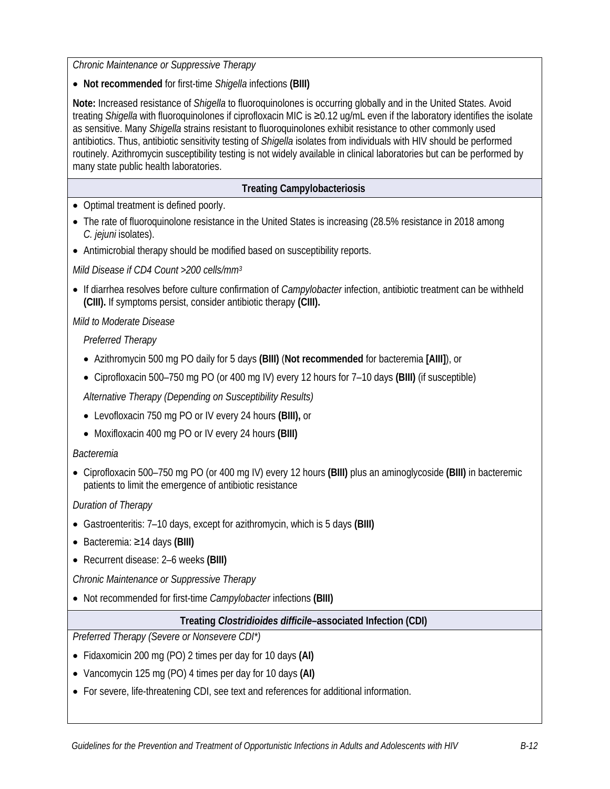*Chronic Maintenance or Suppressive Therapy*

• **Not recommended** for first-time *Shigella* infections **(BIII)** 

**Note:** Increased resistance of *Shigella* to fluoroquinolones is occurring globally and in the United States. Avoid treating *Shigella* with fluoroquinolones if ciprofloxacin MIC is ≥0.12 ug/mL even if the laboratory identifies the isolate as sensitive. Many *Shigella* strains resistant to fluoroquinolones exhibit resistance to other commonly used antibiotics. Thus, antibiotic sensitivity testing of *Shigella* isolates from individuals with HIV should be performed routinely. Azithromycin susceptibility testing is not widely available in clinical laboratories but can be performed by many state public health laboratories.

### **Treating Campylobacteriosis**

- Optimal treatment is defined poorly.
- The rate of fluoroquinolone resistance in the United States is increasing (28.5% resistance in 2018 among *C. jejuni* isolates).
- Antimicrobial therapy should be modified based on susceptibility reports.

*Mild Disease if CD4 Count >200 cells/mm3*

• If diarrhea resolves before culture confirmation of *Campylobacter* infection, antibiotic treatment can be withheld **(CIII).** If symptoms persist, consider antibiotic therapy **(CIII).**

*Mild to Moderate Disease*

*Preferred Therapy*

- Azithromycin 500 mg PO daily for 5 days **(BIII)** (**Not recommended** for bacteremia **[AIII]**), or
- Ciprofloxacin 500–750 mg PO (or 400 mg IV) every 12 hours for 7–10 days **(BIII)** (if susceptible)

*Alternative Therapy (Depending on Susceptibility Results)*

- Levofloxacin 750 mg PO or IV every 24 hours **(BIII),** or
- Moxifloxacin 400 mg PO or IV every 24 hours **(BIII)**

*Bacteremia*

• Ciprofloxacin 500–750 mg PO (or 400 mg IV) every 12 hours **(BIII)** plus an aminoglycoside **(BIII)** in bacteremic patients to limit the emergence of antibiotic resistance

*Duration of Therapy*

- Gastroenteritis: 7–10 days, except for azithromycin, which is 5 days **(BIII)**
- Bacteremia: ≥14 days **(BIII)**
- Recurrent disease: 2–6 weeks **(BIII)**

*Chronic Maintenance or Suppressive Therapy*

• Not recommended for first-time *Campylobacter* infections **(BIII)**

#### **Treating** *Clostridioides difficile***–associated Infection (CDI)**

*Preferred Therapy (Severe or Nonsevere CDI\*)*

- Fidaxomicin 200 mg (PO) 2 times per day for 10 days **(AI)**
- Vancomycin 125 mg (PO) 4 times per day for 10 days **(AI)**
- For severe, life-threatening CDI, see text and references for additional information.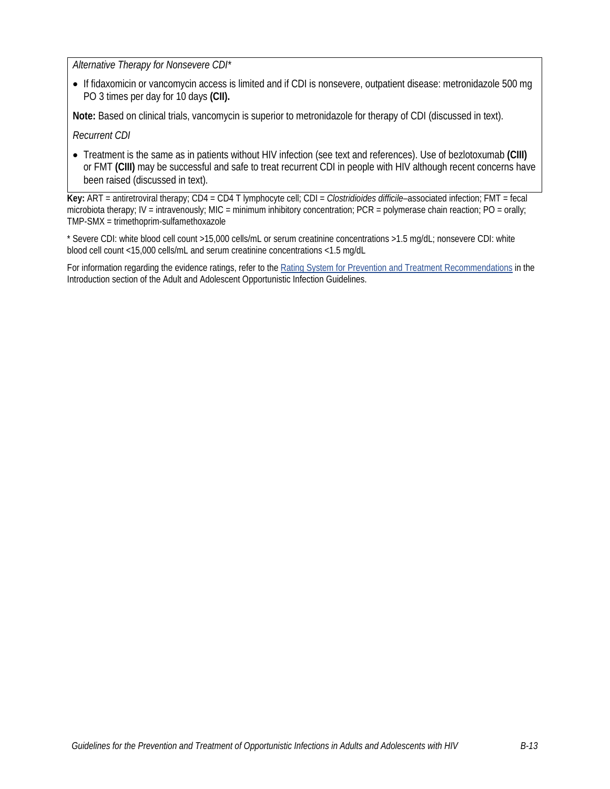*Alternative Therapy for Nonsevere CDI\**

• If fidaxomicin or vancomycin access is limited and if CDI is nonsevere, outpatient disease: metronidazole 500 mg PO 3 times per day for 10 days **(CII).**

**Note:** Based on clinical trials, vancomycin is superior to metronidazole for therapy of CDI (discussed in text).

*Recurrent CDI*

• Treatment is the same as in patients without HIV infection (see text and references). Use of bezlotoxumab **(CIII)**  or FMT **(CIII)** may be successful and safe to treat recurrent CDI in people with HIV although recent concerns have been raised (discussed in text).

**Key:** ART = antiretroviral therapy; CD4 = CD4 T lymphocyte cell; CDI = *Clostridioides difficile*–associated infection; FMT = fecal microbiota therapy; IV = intravenously; MIC = minimum inhibitory concentration; PCR = polymerase chain reaction; PO = orally; TMP-SMX = trimethoprim-sulfamethoxazole

\* Severe CDI: white blood cell count >15,000 cells/mL or serum creatinine concentrations >1.5 mg/dL; nonsevere CDI: white blood cell count <15,000 cells/mL and serum creatinine concentrations <1.5 mg/dL

For information regarding the evidence ratings, refer to the [Rating System for Prevention and Treatment Recommendations](https://clinicalinfo.hiv.gov/en/guidelines/adult-and-adolescent-opportunistic-infection/introduction?view=full) in the Introduction section of the Adult and Adolescent Opportunistic Infection Guidelines.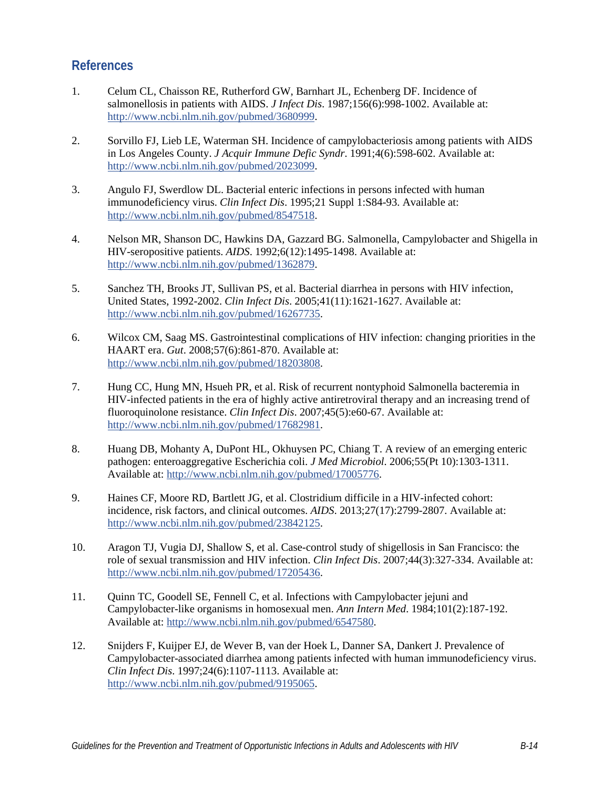## **References**

- 1. Celum CL, Chaisson RE, Rutherford GW, Barnhart JL, Echenberg DF. Incidence of salmonellosis in patients with AIDS. *J Infect Dis*. 1987;156(6):998-1002. Available at: [http://www.ncbi.nlm.nih.gov/pubmed/3680999.](http://www.ncbi.nlm.nih.gov/pubmed/3680999)
- 2. Sorvillo FJ, Lieb LE, Waterman SH. Incidence of campylobacteriosis among patients with AIDS in Los Angeles County. *J Acquir Immune Defic Syndr*. 1991;4(6):598-602. Available at: [http://www.ncbi.nlm.nih.gov/pubmed/2023099.](http://www.ncbi.nlm.nih.gov/pubmed/2023099)
- 3. Angulo FJ, Swerdlow DL. Bacterial enteric infections in persons infected with human immunodeficiency virus. *Clin Infect Dis*. 1995;21 Suppl 1:S84-93. Available at: [http://www.ncbi.nlm.nih.gov/pubmed/8547518.](http://www.ncbi.nlm.nih.gov/pubmed/8547518)
- 4. Nelson MR, Shanson DC, Hawkins DA, Gazzard BG. Salmonella, Campylobacter and Shigella in HIV-seropositive patients. *AIDS*. 1992;6(12):1495-1498. Available at: [http://www.ncbi.nlm.nih.gov/pubmed/1362879.](http://www.ncbi.nlm.nih.gov/pubmed/1362879)
- 5. Sanchez TH, Brooks JT, Sullivan PS, et al. Bacterial diarrhea in persons with HIV infection, United States, 1992-2002. *Clin Infect Dis*. 2005;41(11):1621-1627. Available at: [http://www.ncbi.nlm.nih.gov/pubmed/16267735.](http://www.ncbi.nlm.nih.gov/pubmed/16267735)
- 6. Wilcox CM, Saag MS. Gastrointestinal complications of HIV infection: changing priorities in the HAART era. *Gut*. 2008;57(6):861-870. Available at: [http://www.ncbi.nlm.nih.gov/pubmed/18203808.](http://www.ncbi.nlm.nih.gov/pubmed/18203808)
- 7. Hung CC, Hung MN, Hsueh PR, et al. Risk of recurrent nontyphoid Salmonella bacteremia in HIV-infected patients in the era of highly active antiretroviral therapy and an increasing trend of fluoroquinolone resistance. *Clin Infect Dis*. 2007;45(5):e60-67. Available at: [http://www.ncbi.nlm.nih.gov/pubmed/17682981.](http://www.ncbi.nlm.nih.gov/pubmed/17682981)
- 8. Huang DB, Mohanty A, DuPont HL, Okhuysen PC, Chiang T. A review of an emerging enteric pathogen: enteroaggregative Escherichia coli. *J Med Microbiol*. 2006;55(Pt 10):1303-1311. Available at: [http://www.ncbi.nlm.nih.gov/pubmed/17005776.](http://www.ncbi.nlm.nih.gov/pubmed/17005776)
- 9. Haines CF, Moore RD, Bartlett JG, et al. Clostridium difficile in a HIV-infected cohort: incidence, risk factors, and clinical outcomes. *AIDS*. 2013;27(17):2799-2807. Available at: [http://www.ncbi.nlm.nih.gov/pubmed/23842125.](http://www.ncbi.nlm.nih.gov/pubmed/23842125)
- 10. Aragon TJ, Vugia DJ, Shallow S, et al. Case-control study of shigellosis in San Francisco: the role of sexual transmission and HIV infection. *Clin Infect Dis*. 2007;44(3):327-334. Available at: [http://www.ncbi.nlm.nih.gov/pubmed/17205436.](http://www.ncbi.nlm.nih.gov/pubmed/17205436)
- 11. Quinn TC, Goodell SE, Fennell C, et al. Infections with Campylobacter jejuni and Campylobacter-like organisms in homosexual men. *Ann Intern Med*. 1984;101(2):187-192. Available at: [http://www.ncbi.nlm.nih.gov/pubmed/6547580.](http://www.ncbi.nlm.nih.gov/pubmed/6547580)
- 12. Snijders F, Kuijper EJ, de Wever B, van der Hoek L, Danner SA, Dankert J. Prevalence of Campylobacter-associated diarrhea among patients infected with human immunodeficiency virus. *Clin Infect Dis*. 1997;24(6):1107-1113. Available at: [http://www.ncbi.nlm.nih.gov/pubmed/9195065.](http://www.ncbi.nlm.nih.gov/pubmed/9195065)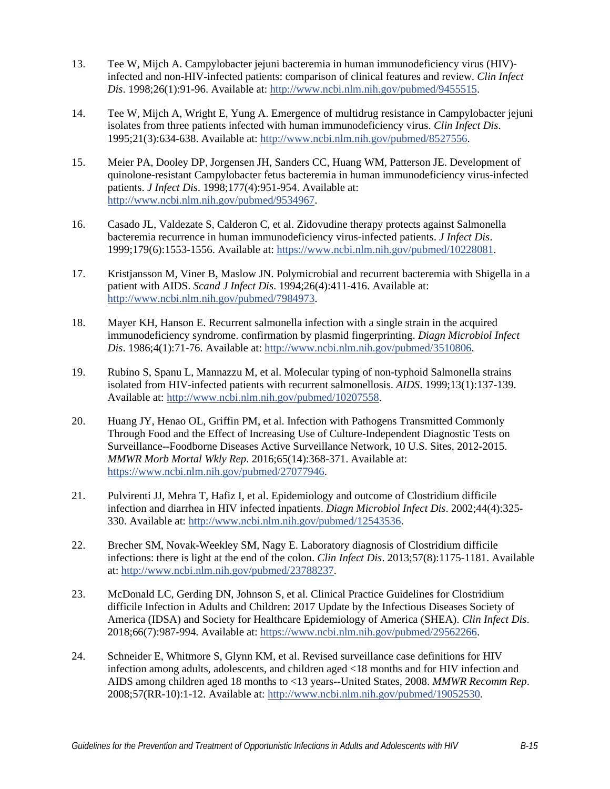- 13. Tee W, Mijch A. Campylobacter jejuni bacteremia in human immunodeficiency virus (HIV) infected and non-HIV-infected patients: comparison of clinical features and review. *Clin Infect Dis*. 1998;26(1):91-96. Available at: [http://www.ncbi.nlm.nih.gov/pubmed/9455515.](http://www.ncbi.nlm.nih.gov/pubmed/9455515)
- 14. Tee W, Mijch A, Wright E, Yung A. Emergence of multidrug resistance in Campylobacter jejuni isolates from three patients infected with human immunodeficiency virus. *Clin Infect Dis*. 1995;21(3):634-638. Available at: [http://www.ncbi.nlm.nih.gov/pubmed/8527556.](http://www.ncbi.nlm.nih.gov/pubmed/8527556)
- 15. Meier PA, Dooley DP, Jorgensen JH, Sanders CC, Huang WM, Patterson JE. Development of quinolone-resistant Campylobacter fetus bacteremia in human immunodeficiency virus-infected patients. *J Infect Dis*. 1998;177(4):951-954. Available at: [http://www.ncbi.nlm.nih.gov/pubmed/9534967.](http://www.ncbi.nlm.nih.gov/pubmed/9534967)
- 16. Casado JL, Valdezate S, Calderon C, et al. Zidovudine therapy protects against Salmonella bacteremia recurrence in human immunodeficiency virus-infected patients. *J Infect Dis*. 1999;179(6):1553-1556. Available at: [https://www.ncbi.nlm.nih.gov/pubmed/10228081.](https://www.ncbi.nlm.nih.gov/pubmed/10228081)
- 17. Kristjansson M, Viner B, Maslow JN. Polymicrobial and recurrent bacteremia with Shigella in a patient with AIDS. *Scand J Infect Dis*. 1994;26(4):411-416. Available at: [http://www.ncbi.nlm.nih.gov/pubmed/7984973.](http://www.ncbi.nlm.nih.gov/pubmed/7984973)
- 18. Mayer KH, Hanson E. Recurrent salmonella infection with a single strain in the acquired immunodeficiency syndrome. confirmation by plasmid fingerprinting. *Diagn Microbiol Infect Dis*. 1986;4(1):71-76. Available at: [http://www.ncbi.nlm.nih.gov/pubmed/3510806.](http://www.ncbi.nlm.nih.gov/pubmed/3510806)
- 19. Rubino S, Spanu L, Mannazzu M, et al. Molecular typing of non-typhoid Salmonella strains isolated from HIV-infected patients with recurrent salmonellosis. *AIDS*. 1999;13(1):137-139. Available at: [http://www.ncbi.nlm.nih.gov/pubmed/10207558.](http://www.ncbi.nlm.nih.gov/pubmed/10207558)
- 20. Huang JY, Henao OL, Griffin PM, et al. Infection with Pathogens Transmitted Commonly Through Food and the Effect of Increasing Use of Culture-Independent Diagnostic Tests on Surveillance--Foodborne Diseases Active Surveillance Network, 10 U.S. Sites, 2012-2015. *MMWR Morb Mortal Wkly Rep*. 2016;65(14):368-371. Available at: [https://www.ncbi.nlm.nih.gov/pubmed/27077946.](https://www.ncbi.nlm.nih.gov/pubmed/27077946)
- 21. Pulvirenti JJ, Mehra T, Hafiz I, et al. Epidemiology and outcome of Clostridium difficile infection and diarrhea in HIV infected inpatients. *Diagn Microbiol Infect Dis*. 2002;44(4):325- 330. Available at: [http://www.ncbi.nlm.nih.gov/pubmed/12543536.](http://www.ncbi.nlm.nih.gov/pubmed/12543536)
- 22. Brecher SM, Novak-Weekley SM, Nagy E. Laboratory diagnosis of Clostridium difficile infections: there is light at the end of the colon. *Clin Infect Dis*. 2013;57(8):1175-1181. Available at[: http://www.ncbi.nlm.nih.gov/pubmed/23788237.](http://www.ncbi.nlm.nih.gov/pubmed/23788237)
- 23. McDonald LC, Gerding DN, Johnson S, et al. Clinical Practice Guidelines for Clostridium difficile Infection in Adults and Children: 2017 Update by the Infectious Diseases Society of America (IDSA) and Society for Healthcare Epidemiology of America (SHEA). *Clin Infect Dis*. 2018;66(7):987-994. Available at: [https://www.ncbi.nlm.nih.gov/pubmed/29562266.](https://www.ncbi.nlm.nih.gov/pubmed/29562266)
- 24. Schneider E, Whitmore S, Glynn KM, et al. Revised surveillance case definitions for HIV infection among adults, adolescents, and children aged <18 months and for HIV infection and AIDS among children aged 18 months to <13 years--United States, 2008. *MMWR Recomm Rep*. 2008;57(RR-10):1-12. Available at: [http://www.ncbi.nlm.nih.gov/pubmed/19052530.](http://www.ncbi.nlm.nih.gov/pubmed/19052530)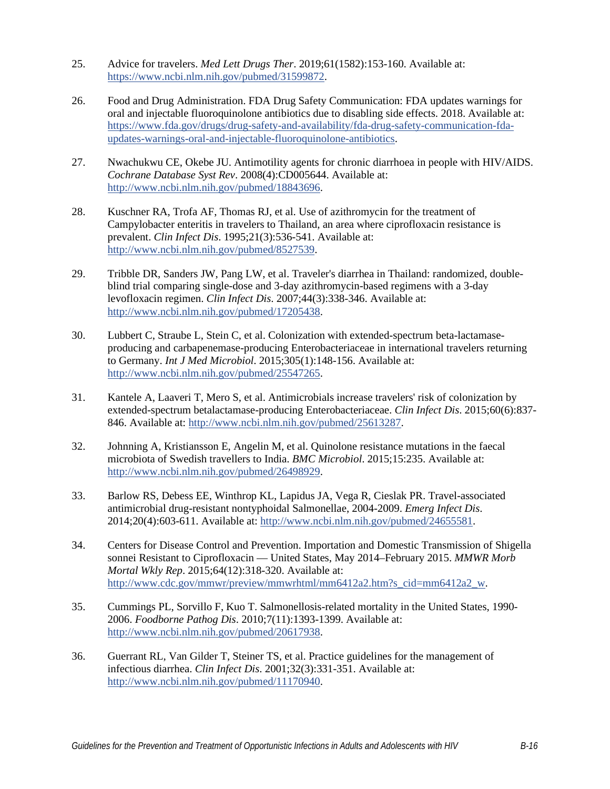- 25. Advice for travelers. *Med Lett Drugs Ther*. 2019;61(1582):153-160. Available at: [https://www.ncbi.nlm.nih.gov/pubmed/31599872.](https://www.ncbi.nlm.nih.gov/pubmed/31599872)
- 26. Food and Drug Administration. FDA Drug Safety Communication: FDA updates warnings for oral and injectable fluoroquinolone antibiotics due to disabling side effects. 2018. Available at: [https://www.fda.gov/drugs/drug-safety-and-availability/fda-drug-safety-communication-fda](https://www.fda.gov/drugs/drug-safety-and-availability/fda-drug-safety-communication-fda-updates-warnings-oral-and-injectable-fluoroquinolone-antibiotics)[updates-warnings-oral-and-injectable-fluoroquinolone-antibiotics.](https://www.fda.gov/drugs/drug-safety-and-availability/fda-drug-safety-communication-fda-updates-warnings-oral-and-injectable-fluoroquinolone-antibiotics)
- 27. Nwachukwu CE, Okebe JU. Antimotility agents for chronic diarrhoea in people with HIV/AIDS. *Cochrane Database Syst Rev*. 2008(4):CD005644. Available at: [http://www.ncbi.nlm.nih.gov/pubmed/18843696.](http://www.ncbi.nlm.nih.gov/pubmed/18843696)
- 28. Kuschner RA, Trofa AF, Thomas RJ, et al. Use of azithromycin for the treatment of Campylobacter enteritis in travelers to Thailand, an area where ciprofloxacin resistance is prevalent. *Clin Infect Dis*. 1995;21(3):536-541. Available at: [http://www.ncbi.nlm.nih.gov/pubmed/8527539.](http://www.ncbi.nlm.nih.gov/pubmed/8527539)
- 29. Tribble DR, Sanders JW, Pang LW, et al. Traveler's diarrhea in Thailand: randomized, doubleblind trial comparing single-dose and 3-day azithromycin-based regimens with a 3-day levofloxacin regimen. *Clin Infect Dis*. 2007;44(3):338-346. Available at: [http://www.ncbi.nlm.nih.gov/pubmed/17205438.](http://www.ncbi.nlm.nih.gov/pubmed/17205438)
- 30. Lubbert C, Straube L, Stein C, et al. Colonization with extended-spectrum beta-lactamaseproducing and carbapenemase-producing Enterobacteriaceae in international travelers returning to Germany. *Int J Med Microbiol*. 2015;305(1):148-156. Available at: [http://www.ncbi.nlm.nih.gov/pubmed/25547265.](http://www.ncbi.nlm.nih.gov/pubmed/25547265)
- 31. Kantele A, Laaveri T, Mero S, et al. Antimicrobials increase travelers' risk of colonization by extended-spectrum betalactamase-producing Enterobacteriaceae. *Clin Infect Dis*. 2015;60(6):837- 846. Available at: [http://www.ncbi.nlm.nih.gov/pubmed/25613287.](http://www.ncbi.nlm.nih.gov/pubmed/25613287)
- 32. Johnning A, Kristiansson E, Angelin M, et al. Quinolone resistance mutations in the faecal microbiota of Swedish travellers to India. *BMC Microbiol*. 2015;15:235. Available at: [http://www.ncbi.nlm.nih.gov/pubmed/26498929.](http://www.ncbi.nlm.nih.gov/pubmed/26498929)
- 33. Barlow RS, Debess EE, Winthrop KL, Lapidus JA, Vega R, Cieslak PR. Travel-associated antimicrobial drug-resistant nontyphoidal Salmonellae, 2004-2009. *Emerg Infect Dis*. 2014;20(4):603-611. Available at: [http://www.ncbi.nlm.nih.gov/pubmed/24655581.](http://www.ncbi.nlm.nih.gov/pubmed/24655581)
- 34. Centers for Disease Control and Prevention. Importation and Domestic Transmission of Shigella sonnei Resistant to Ciprofloxacin — United States, May 2014–February 2015. *MMWR Morb Mortal Wkly Rep*. 2015;64(12):318-320. Available at: [http://www.cdc.gov/mmwr/preview/mmwrhtml/mm6412a2.htm?s\\_cid=mm6412a2\\_w.](http://www.cdc.gov/mmwr/preview/mmwrhtml/mm6412a2.htm?s_cid=mm6412a2_w)
- 35. Cummings PL, Sorvillo F, Kuo T. Salmonellosis-related mortality in the United States, 1990- 2006. *Foodborne Pathog Dis*. 2010;7(11):1393-1399. Available at: [http://www.ncbi.nlm.nih.gov/pubmed/20617938.](http://www.ncbi.nlm.nih.gov/pubmed/20617938)
- 36. Guerrant RL, Van Gilder T, Steiner TS, et al. Practice guidelines for the management of infectious diarrhea. *Clin Infect Dis*. 2001;32(3):331-351. Available at: [http://www.ncbi.nlm.nih.gov/pubmed/11170940.](http://www.ncbi.nlm.nih.gov/pubmed/11170940)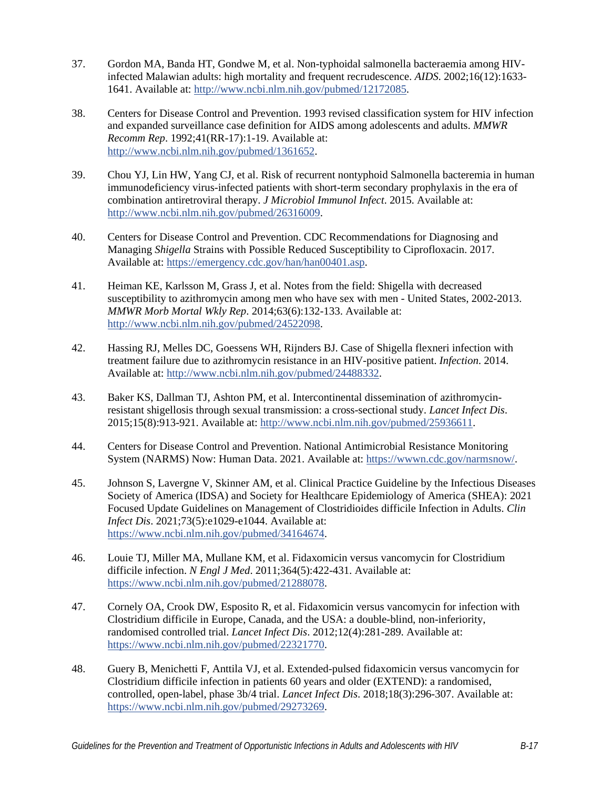- 37. Gordon MA, Banda HT, Gondwe M, et al. Non-typhoidal salmonella bacteraemia among HIVinfected Malawian adults: high mortality and frequent recrudescence. *AIDS*. 2002;16(12):1633- 1641. Available at: [http://www.ncbi.nlm.nih.gov/pubmed/12172085.](http://www.ncbi.nlm.nih.gov/pubmed/12172085)
- 38. Centers for Disease Control and Prevention. 1993 revised classification system for HIV infection and expanded surveillance case definition for AIDS among adolescents and adults. *MMWR Recomm Rep*. 1992;41(RR-17):1-19. Available at: [http://www.ncbi.nlm.nih.gov/pubmed/1361652.](http://www.ncbi.nlm.nih.gov/pubmed/1361652)
- 39. Chou YJ, Lin HW, Yang CJ, et al. Risk of recurrent nontyphoid Salmonella bacteremia in human immunodeficiency virus-infected patients with short-term secondary prophylaxis in the era of combination antiretroviral therapy. *J Microbiol Immunol Infect*. 2015. Available at: [http://www.ncbi.nlm.nih.gov/pubmed/26316009.](http://www.ncbi.nlm.nih.gov/pubmed/26316009)
- 40. Centers for Disease Control and Prevention. CDC Recommendations for Diagnosing and Managing *Shigella* Strains with Possible Reduced Susceptibility to Ciprofloxacin. 2017. Available at: [https://emergency.cdc.gov/han/han00401.asp.](https://emergency.cdc.gov/han/han00401.asp)
- 41. Heiman KE, Karlsson M, Grass J, et al. Notes from the field: Shigella with decreased susceptibility to azithromycin among men who have sex with men - United States, 2002-2013. *MMWR Morb Mortal Wkly Rep*. 2014;63(6):132-133. Available at: [http://www.ncbi.nlm.nih.gov/pubmed/24522098.](http://www.ncbi.nlm.nih.gov/pubmed/24522098)
- 42. Hassing RJ, Melles DC, Goessens WH, Rijnders BJ. Case of Shigella flexneri infection with treatment failure due to azithromycin resistance in an HIV-positive patient. *Infection*. 2014. Available at: [http://www.ncbi.nlm.nih.gov/pubmed/24488332.](http://www.ncbi.nlm.nih.gov/pubmed/24488332)
- 43. Baker KS, Dallman TJ, Ashton PM, et al. Intercontinental dissemination of azithromycinresistant shigellosis through sexual transmission: a cross-sectional study. *Lancet Infect Dis*. 2015;15(8):913-921. Available at: [http://www.ncbi.nlm.nih.gov/pubmed/25936611.](http://www.ncbi.nlm.nih.gov/pubmed/25936611)
- 44. Centers for Disease Control and Prevention. National Antimicrobial Resistance Monitoring System (NARMS) Now: Human Data. 2021. Available at: [https://wwwn.cdc.gov/narmsnow/.](https://wwwn.cdc.gov/narmsnow/)
- 45. Johnson S, Lavergne V, Skinner AM, et al. Clinical Practice Guideline by the Infectious Diseases Society of America (IDSA) and Society for Healthcare Epidemiology of America (SHEA): 2021 Focused Update Guidelines on Management of Clostridioides difficile Infection in Adults. *Clin Infect Dis*. 2021;73(5):e1029-e1044. Available at: [https://www.ncbi.nlm.nih.gov/pubmed/34164674.](https://www.ncbi.nlm.nih.gov/pubmed/34164674)
- 46. Louie TJ, Miller MA, Mullane KM, et al. Fidaxomicin versus vancomycin for Clostridium difficile infection. *N Engl J Med*. 2011;364(5):422-431. Available at: [https://www.ncbi.nlm.nih.gov/pubmed/21288078.](https://www.ncbi.nlm.nih.gov/pubmed/21288078)
- 47. Cornely OA, Crook DW, Esposito R, et al. Fidaxomicin versus vancomycin for infection with Clostridium difficile in Europe, Canada, and the USA: a double-blind, non-inferiority, randomised controlled trial. *Lancet Infect Dis*. 2012;12(4):281-289. Available at: [https://www.ncbi.nlm.nih.gov/pubmed/22321770.](https://www.ncbi.nlm.nih.gov/pubmed/22321770)
- 48. Guery B, Menichetti F, Anttila VJ, et al. Extended-pulsed fidaxomicin versus vancomycin for Clostridium difficile infection in patients 60 years and older (EXTEND): a randomised, controlled, open-label, phase 3b/4 trial. *Lancet Infect Dis*. 2018;18(3):296-307. Available at: [https://www.ncbi.nlm.nih.gov/pubmed/29273269.](https://www.ncbi.nlm.nih.gov/pubmed/29273269)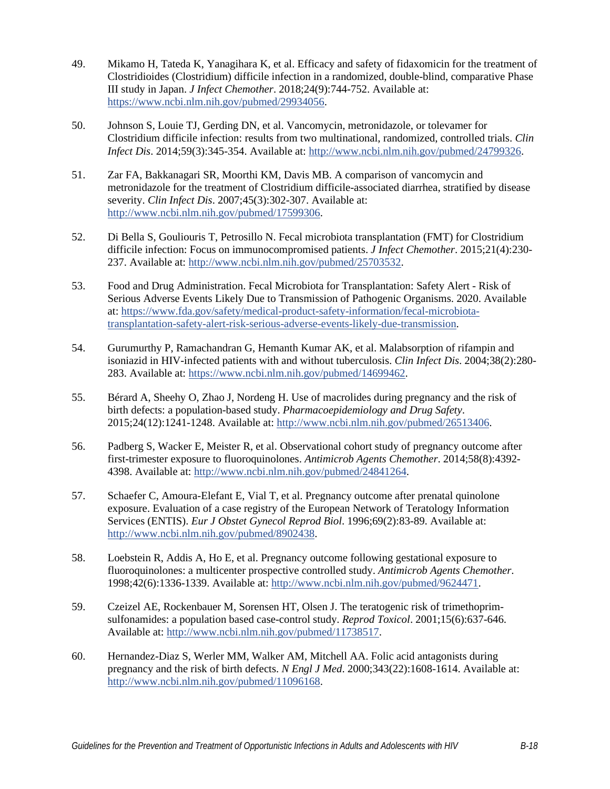- 49. Mikamo H, Tateda K, Yanagihara K, et al. Efficacy and safety of fidaxomicin for the treatment of Clostridioides (Clostridium) difficile infection in a randomized, double-blind, comparative Phase III study in Japan. *J Infect Chemother*. 2018;24(9):744-752. Available at: [https://www.ncbi.nlm.nih.gov/pubmed/29934056.](https://www.ncbi.nlm.nih.gov/pubmed/29934056)
- 50. Johnson S, Louie TJ, Gerding DN, et al. Vancomycin, metronidazole, or tolevamer for Clostridium difficile infection: results from two multinational, randomized, controlled trials. *Clin Infect Dis*. 2014;59(3):345-354. Available at: [http://www.ncbi.nlm.nih.gov/pubmed/24799326.](http://www.ncbi.nlm.nih.gov/pubmed/24799326)
- 51. Zar FA, Bakkanagari SR, Moorthi KM, Davis MB. A comparison of vancomycin and metronidazole for the treatment of Clostridium difficile-associated diarrhea, stratified by disease severity. *Clin Infect Dis*. 2007;45(3):302-307. Available at: [http://www.ncbi.nlm.nih.gov/pubmed/17599306.](http://www.ncbi.nlm.nih.gov/pubmed/17599306)
- 52. Di Bella S, Gouliouris T, Petrosillo N. Fecal microbiota transplantation (FMT) for Clostridium difficile infection: Focus on immunocompromised patients. *J Infect Chemother*. 2015;21(4):230- 237. Available at: [http://www.ncbi.nlm.nih.gov/pubmed/25703532.](http://www.ncbi.nlm.nih.gov/pubmed/25703532)
- 53. Food and Drug Administration. Fecal Microbiota for Transplantation: Safety Alert Risk of Serious Adverse Events Likely Due to Transmission of Pathogenic Organisms. 2020. Available at[: https://www.fda.gov/safety/medical-product-safety-information/fecal-microbiota](https://www.fda.gov/safety/medical-product-safety-information/fecal-microbiota-transplantation-safety-alert-risk-serious-adverse-events-likely-due-transmission)[transplantation-safety-alert-risk-serious-adverse-events-likely-due-transmission.](https://www.fda.gov/safety/medical-product-safety-information/fecal-microbiota-transplantation-safety-alert-risk-serious-adverse-events-likely-due-transmission)
- 54. Gurumurthy P, Ramachandran G, Hemanth Kumar AK, et al. Malabsorption of rifampin and isoniazid in HIV-infected patients with and without tuberculosis. *Clin Infect Dis*. 2004;38(2):280- 283. Available at: [https://www.ncbi.nlm.nih.gov/pubmed/14699462.](https://www.ncbi.nlm.nih.gov/pubmed/14699462)
- 55. Bérard A, Sheehy O, Zhao J, Nordeng H. Use of macrolides during pregnancy and the risk of birth defects: a population-based study. *Pharmacoepidemiology and Drug Safety*. 2015;24(12):1241-1248. Available at: [http://www.ncbi.nlm.nih.gov/pubmed/26513406.](http://www.ncbi.nlm.nih.gov/pubmed/26513406)
- 56. Padberg S, Wacker E, Meister R, et al. Observational cohort study of pregnancy outcome after first-trimester exposure to fluoroquinolones. *Antimicrob Agents Chemother*. 2014;58(8):4392- 4398. Available at: [http://www.ncbi.nlm.nih.gov/pubmed/24841264.](http://www.ncbi.nlm.nih.gov/pubmed/24841264)
- 57. Schaefer C, Amoura-Elefant E, Vial T, et al. Pregnancy outcome after prenatal quinolone exposure. Evaluation of a case registry of the European Network of Teratology Information Services (ENTIS). *Eur J Obstet Gynecol Reprod Biol*. 1996;69(2):83-89. Available at: [http://www.ncbi.nlm.nih.gov/pubmed/8902438.](http://www.ncbi.nlm.nih.gov/pubmed/8902438)
- 58. Loebstein R, Addis A, Ho E, et al. Pregnancy outcome following gestational exposure to fluoroquinolones: a multicenter prospective controlled study. *Antimicrob Agents Chemother*. 1998;42(6):1336-1339. Available at: [http://www.ncbi.nlm.nih.gov/pubmed/9624471.](http://www.ncbi.nlm.nih.gov/pubmed/9624471)
- 59. Czeizel AE, Rockenbauer M, Sorensen HT, Olsen J. The teratogenic risk of trimethoprimsulfonamides: a population based case-control study. *Reprod Toxicol*. 2001;15(6):637-646. Available at: [http://www.ncbi.nlm.nih.gov/pubmed/11738517.](http://www.ncbi.nlm.nih.gov/pubmed/11738517)
- 60. Hernandez-Diaz S, Werler MM, Walker AM, Mitchell AA. Folic acid antagonists during pregnancy and the risk of birth defects. *N Engl J Med*. 2000;343(22):1608-1614. Available at: [http://www.ncbi.nlm.nih.gov/pubmed/11096168.](http://www.ncbi.nlm.nih.gov/pubmed/11096168)